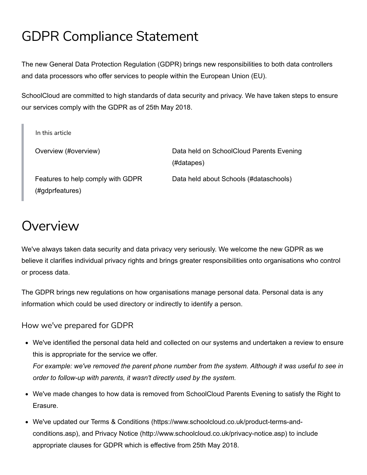# GDPR Compliance Statement

The new General Data Protection Regulation (GDPR) brings new responsibilities to both data controllers and data processors who offer services to people within the European Union (EU).

SchoolCloud are committed to high standards of data security and privacy. We have taken steps to ensure our services comply with the GDPR as of 25th May 2018.

| In this article                                      |                                                        |
|------------------------------------------------------|--------------------------------------------------------|
| Overview (#overview)                                 | Data held on SchoolCloud Parents Evening<br>(#datapes) |
| Features to help comply with GDPR<br>(#gdprfeatures) | Data held about Schools (#dataschools)                 |

## <span id="page-0-0"></span>Overview

We've always taken data security and data privacy very seriously. We welcome the new GDPR as we believe it clarifies individual privacy rights and brings greater responsibilities onto organisations who control or process data.

The GDPR brings new regulations on how organisations manage personal data. Personal data is any information which could be used directory or indirectly to identify a person.

How we've prepared for GDPR

- We've identified the personal data held and collected on our systems and undertaken a review to ensure this is appropriate for the service we offer. *For example: we've removed the parent phone number from the system. Although it was useful to see in order to follow-up with parents, it wasn't directly used by the system.*
- We've made changes to how data is removed from SchoolCloud Parents Evening to satisfy the Right to Erasure.
- We've updated our Terms & Conditions (https://www.schoolcloud.co.uk/product-terms-and[conditions.asp\), and Privacy Notice \(http://www.schoolcloud.co.uk/privacy-notice.asp\) to inc](https://www.schoolcloud.co.uk/product-terms-and-conditions.asp)lude appropriate clauses for GDPR which is effective from 25th May 2018.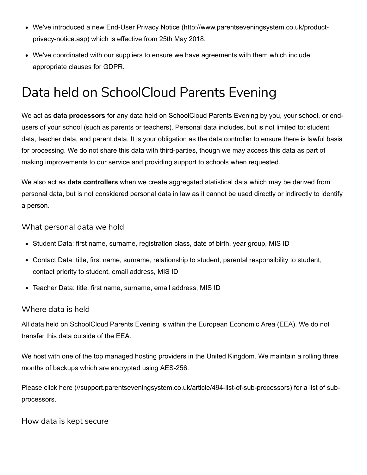- [We've introduced a new End-User Privacy Notice \(http://www.parentseveningsystem.co.uk/product](http://www.parentseveningsystem.co.uk/product-privacy-notice.asp)privacy-notice.asp) which is effective from 25th May 2018.
- We've coordinated with our suppliers to ensure we have agreements with them which include appropriate clauses for GDPR.

## <span id="page-1-0"></span>Data held on SchoolCloud Parents Evening

We act as **data processors** for any data held on SchoolCloud Parents Evening by you, your school, or endusers of your school (such as parents or teachers). Personal data includes, but is not limited to: student data, teacher data, and parent data. It is your obligation as the data controller to ensure there is lawful basis for processing. We do not share this data with third-parties, though we may access this data as part of making improvements to our service and providing support to schools when requested.

We also act as **data controllers** when we create aggregated statistical data which may be derived from personal data, but is not considered personal data in law as it cannot be used directly or indirectly to identify a person.

What personal data we hold

- Student Data: first name, surname, registration class, date of birth, year group, MIS ID
- Contact Data: title, first name, surname, relationship to student, parental responsibility to student, contact priority to student, email address, MIS ID
- Teacher Data: title, first name, surname, email address, MIS ID

#### Where data is held

All data held on SchoolCloud Parents Evening is within the European Economic Area (EEA). We do not transfer this data outside of the EEA.

We host with one of the top managed hosting providers in the United Kingdom. We maintain a rolling three months of backups which are encrypted using AES-256.

Please [click here \(//support.parentseveningsystem.co.uk/article/494-list-of-sub-processors\)](https://support.parentseveningsystem.co.uk/article/494-list-of-sub-processors) for a list of subprocessors.

#### How data is kept secure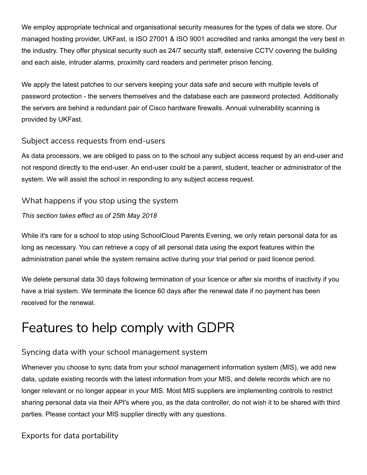We employ appropriate technical and organisational security measures for the types of data we store. Our managed hosting provider, UKFast, is ISO 27001 & ISO 9001 accredited and ranks amongst the very best in the industry. They offer physical security such as 24/7 security staff, extensive CCTV covering the building and each aisle, intruder alarms, proximity card readers and perimeter prison fencing.

We apply the latest patches to our servers keeping your data safe and secure with multiple levels of password protection - the servers themselves and the database each are password protected. Additionally the servers are behind a redundant pair of Cisco hardware firewalls. Annual vulnerability scanning is provided by UKFast.

### Subject access requests from end-users

As data processors, we are obliged to pass on to the school any subject access request by an end-user and not respond directly to the end-user. An end-user could be a parent, student, teacher or administrator of the system. We will assist the school in responding to any subject access request.

### What happens if you stop using the system

#### *This section takes effect as of 25th May 2018*

While it's rare for a school to stop using SchoolCloud Parents Evening, we only retain personal data for as long as necessary. You can retrieve a copy of all personal data using the export features within the administration panel while the system remains active during your trial period or paid licence period.

We delete personal data 30 days following termination of your licence or after six months of inactivity if you have a trial system. We terminate the licence 60 days after the renewal date if no payment has been received for the renewal.

## <span id="page-2-0"></span>Features to help comply with GDPR

## Syncing data with your school management system

Whenever you choose to sync data from your school management information system (MIS), we add new data, update existing records with the latest information from your MIS, and delete records which are no longer relevant or no longer appear in your MIS. Most MIS suppliers are implementing controls to restrict sharing personal data via their API's where you, as the data controller, do not wish it to be shared with third parties. Please contact your MIS supplier directly with any questions.

## Exports for data portability